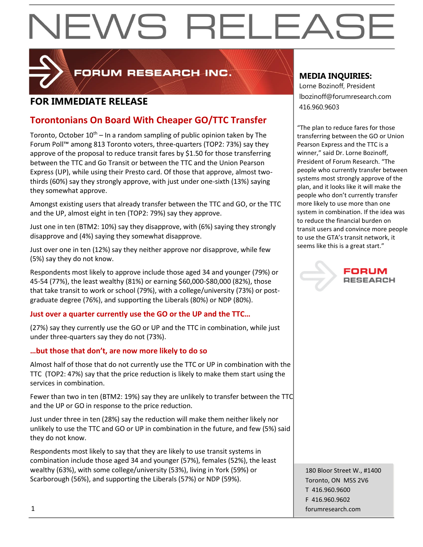

FORUM RESEARCH INC.

### **FOR IMMEDIATE RELEASE And a** series and a series of the series and a series of the series of the series and a series of the series of the series of the series of the series of the series of the series of the series of t

### **Torontonians On Board With Cheaper GO/TTC Transfer**

Toronto, October  $10^{th}$  – In a random sampling of public opinion taken by The Forum Poll™ among 813 Toronto voters, three-quarters (TOP2: 73%) say they approve of the proposal to reduce transit fares by \$1.50 for those transferring between the TTC and Go Transit or between the TTC and the Union Pearson Express (UP), while using their Presto card. Of those that approve, almost twothirds (60%) say they strongly approve, with just under one-sixth (13%) saying they somewhat approve.

Amongst existing users that already transfer between the TTC and GO, or the TTC and the UP, almost eight in ten (TOP2: 79%) say they approve.

Just one in ten (BTM2: 10%) say they disapprove, with (6%) saying they strongly disapprove and (4%) saying they somewhat disapprove.

Just over one in ten (12%) say they neither approve nor disapprove, while few (5%) say they do not know.

Respondents most likely to approve include those aged 34 and younger (79%) or 45-54 (77%), the least wealthy (81%) or earning \$60,000-\$80,000 (82%), those that take transit to work or school (79%), with a college/university (73%) or postgraduate degree (76%), and supporting the Liberals (80%) or NDP (80%).

#### **Just over a quarter currently use the GO or the UP and the TTC…**

(27%) say they currently use the GO or UP and the TTC in combination, while just under three-quarters say they do not (73%).

#### **…but those that don't, are now more likely to do so**

Almost half of those that do not currently use the TTC or UP in combination with the TTC (TOP2: 47%) say that the price reduction is likely to make them start using the services in combination.

Fewer than two in ten (BTM2: 19%) say they are unlikely to transfer between the TTC and the UP or GO in response to the price reduction.

Just under three in ten (28%) say the reduction will make them neither likely nor unlikely to use the TTC and GO or UP in combination in the future, and few (5%) said they do not know.

Respondents most likely to say that they are likely to use transit systems in combination include those aged 34 and younger (57%), females (52%), the least wealthy (63%), with some college/university (53%), living in York (59%) or Scarborough (56%), and supporting the Liberals (57%) or NDP (59%).

#### **MEDIA INQUIRIES:**

Lorne Bozinoff, President lbozinoff@forumresearch.com

"The plan to reduce fares for those transferring between the GO or Union Pearson Express and the TTC is a winner," said Dr. Lorne Bozinoff, President of Forum Research. "The people who currently transfer between systems most strongly approve of the plan, and it looks like it will make the people who don't currently transfer more likely to use more than one system in combination. If the idea was to reduce the financial burden on transit users and convince more people to use the GTA's transit network, it seems like this is a great start."



180 Bloor Street W., #1400 Toronto, ON M5S 2V6 T 416.960.9600 F 416.960.9602 1 forumresearch.com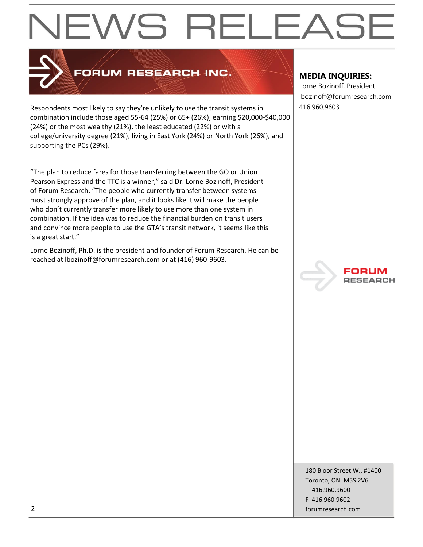

## FORUM RESEARCH INC.

Respondents most likely to say they're unlikely to use the transit systems in 416.960.9603 combination include those aged 55-64 (25%) or 65+ (26%), earning \$20,000-\$40,000 (24%) or the most wealthy (21%), the least educated (22%) or with a college/university degree (21%), living in East York (24%) or North York (26%), and supporting the PCs (29%).

"The plan to reduce fares for those transferring between the GO or Union Pearson Express and the TTC is a winner," said Dr. Lorne Bozinoff, President of Forum Research. "The people who currently transfer between systems most strongly approve of the plan, and it looks like it will make the people who don't currently transfer more likely to use more than one system in combination. If the idea was to reduce the financial burden on transit users and convince more people to use the GTA's transit network, it seems like this is a great start."

Lorne Bozinoff, Ph.D. is the president and founder of Forum Research. He can be reached at lbozinoff@forumresearch.com or at (416) 960-9603.

#### **MEDIA INQUIRIES:**

Lorne Bozinoff, President lbozinoff@forumresearch.com



180 Bloor Street W., #1400 Toronto, ON M5S 2V6 T 416.960.9600 F 416.960.9602 2 forumresearch.com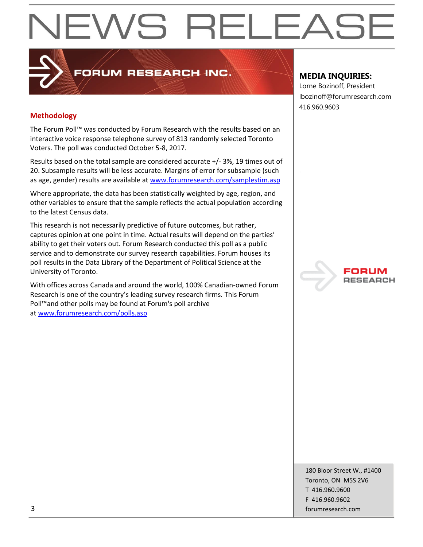#### **Methodology**

The Forum Poll™ was conducted by Forum Research with the results based on an interactive voice response telephone survey of 813 randomly selected Toronto Voters. The poll was conducted October 5-8, 2017.

**PORUM RESEARCH INC.** 

Results based on the total sample are considered accurate +/- 3%, 19 times out of 20. Subsample results will be less accurate. Margins of error for subsample (such as age, gender) results are available at [www.forumresearch.com/samplestim.asp](http://www.forumresearch.com/samplestim.asp)

Where appropriate, the data has been statistically weighted by age, region, and other variables to ensure that the sample reflects the actual population according to the latest Census data.

This research is not necessarily predictive of future outcomes, but rather, captures opinion at one point in time. Actual results will depend on the parties' ability to get their voters out. Forum Research conducted this poll as a public service and to demonstrate our survey research capabilities. Forum houses its poll results in the Data Library of the Department of Political Science at the University of Toronto.

With offices across Canada and around the world, 100% Canadian-owned Forum Research is one of the country's leading survey research firms. This Forum Poll™and other polls may be found at Forum's poll archive at [www.forumresearch.com/polls.asp](http://www.forumresearch.com/polls.asp)

#### **MEDIA INQUIRIES:**

Lorne Bozinoff, President lbozinoff@forumresearch.com 416.960.9603



180 Bloor Street W., #1400 Toronto, ON M5S 2V6 T 416.960.9600 F 416.960.9602 3 forumresearch.com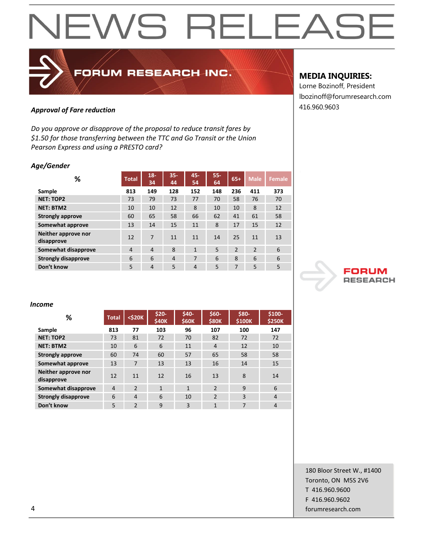### 416.960.9603 *Approval of Fare reduction*

*Do you approve or disapprove of the proposal to reduce transit fares by \$1.50 for those transferring between the TTC and Go Transit or the Union Pearson Express and using a PRESTO card?*

FORUM RESEARCH INC.

#### *Age/Gender*

| %                                 | <b>Total</b> | $18 -$<br>34   | $35 -$<br>44 | 45-<br>54      | $55 -$<br>64 | $65+$          | <b>Male</b>    | <b>Female</b> |
|-----------------------------------|--------------|----------------|--------------|----------------|--------------|----------------|----------------|---------------|
| Sample                            | 813          | 149            | 128          | 152            | 148          | 236            | 411            | 373           |
| <b>NET: TOP2</b>                  | 73           | 79             | 73           | 77             | 70           | 58             | 76             | 70            |
| <b>NET: BTM2</b>                  | 10           | 10             | 12           | 8              | 10           | 10             | 8              | 12            |
| <b>Strongly approve</b>           | 60           | 65             | 58           | 66             | 62           | 41             | 61             | 58            |
| Somewhat approve                  | 13           | 14             | 15           | 11             | 8            | 17             | 15             | 12            |
| Neither approve nor<br>disapprove | 12           | 7              | 11           | 11             | 14           | 25             | 11             | 13            |
| Somewhat disapprove               | 4            | $\overline{4}$ | 8            | $\mathbf{1}$   | 5            | $\overline{2}$ | $\overline{2}$ | 6             |
| <b>Strongly disapprove</b>        | 6            | 6              | 4            | 7              | 6            | 8              | 6              | 6             |
| Don't know                        | 5            | $\overline{4}$ | 5            | $\overline{4}$ | 5            | 7              | 5              | 5             |

#### **MEDIA INQUIRIES:**

Lorne Bozinoff, President lbozinoff@forumresearch.com



#### *Income*

| %                                 | <b>Total</b> | <\$20K         | $$20-$<br><b>\$40K</b> | \$40-<br>\$60K | $$60-$<br><b>\$80K</b> | \$80-<br>\$100K | $$100-$<br><b>\$250K</b> |
|-----------------------------------|--------------|----------------|------------------------|----------------|------------------------|-----------------|--------------------------|
| Sample                            | 813          | 77             | 103                    | 96             | 107                    | 100             | 147                      |
| <b>NET: TOP2</b>                  | 73           | 81             | 72                     | 70             | 82                     | 72              | 72                       |
| <b>NET: BTM2</b>                  | 10           | 6              | 6                      | 11             | $\overline{4}$         | 12              | 10                       |
| <b>Strongly approve</b>           | 60           | 74             | 60                     | 57             | 65                     | 58              | 58                       |
| Somewhat approve                  | 13           | 7              | 13                     | 13             | 16                     | 14              | 15                       |
| Neither approve nor<br>disapprove | 12           | 11             | 12                     | 16             | 13                     | 8               | 14                       |
| Somewhat disapprove               | 4            | $\overline{2}$ | $\mathbf{1}$           | $\overline{1}$ | $\mathcal{P}$          | 9               | 6                        |
| <b>Strongly disapprove</b>        | 6            | 4              | 6                      | 10             | $\overline{2}$         | 3               | $\overline{4}$           |
| Don't know                        | 5            | $\overline{2}$ | 9                      | 3              | 1                      | 7               | 4                        |

180 Bloor Street W., #1400 Toronto, ON M5S 2V6 T 416.960.9600 F 416.960.9602 4 forumresearch.com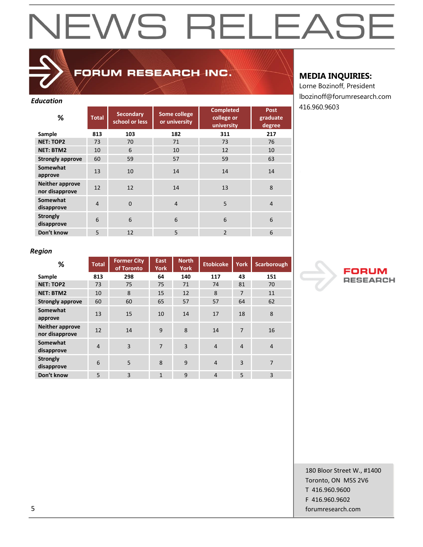### FORUM RESEARCH INC.

#### *Education*

| ℅                                        | <b>Total</b> | <b>Secondary</b><br>school or less | Some college<br>or university | Completed<br>college or<br>university | <b>Post</b><br>graduate<br>degree |
|------------------------------------------|--------------|------------------------------------|-------------------------------|---------------------------------------|-----------------------------------|
| Sample                                   | 813          | 103                                | 182                           | 311                                   | 217                               |
| <b>NET: TOP2</b>                         | 73           | 70                                 | 71                            | 73                                    | 76                                |
| <b>NET: BTM2</b>                         | 10           | 6                                  | 10                            | 12                                    | 10                                |
| <b>Strongly approve</b>                  | 60           | 59                                 | 57                            | 59                                    | 63                                |
| Somewhat<br>approve                      | 13           | 10                                 | 14                            | 14                                    | 14                                |
| <b>Neither approve</b><br>nor disapprove | 12           | 12                                 | 14                            | 13                                    | 8                                 |
| Somewhat<br>disapprove                   | 4            | $\Omega$                           | $\overline{4}$                | 5                                     | $\overline{4}$                    |
| <b>Strongly</b><br>disapprove            | 6            | 6                                  | 6                             | 6                                     | 6                                 |
| Don't know                               | 5            | 12                                 | 5                             | $\overline{2}$                        | 6                                 |

#### **MEDIA INQUIRIES:**

Lorne Bozinoff, President lbozinoff@forumresearch.com 416.960.9603

#### *Region*

| %                                        | <b>Total</b>   | <b>Former City</b><br>of Toronto | East<br><b>York</b> | <b>North</b><br><b>York</b> | <b>Etobicoke</b> | <b>York</b>    | Scarborough    |
|------------------------------------------|----------------|----------------------------------|---------------------|-----------------------------|------------------|----------------|----------------|
| Sample                                   | 813            | 298                              | 64                  | 140                         | 117              | 43             | 151            |
| <b>NET: TOP2</b>                         | 73             | 75                               | 75                  | 71                          | 74               | 81             | 70             |
| <b>NET: BTM2</b>                         | 10             | 8                                | 15                  | 12                          | 8                | 7              | 11             |
| <b>Strongly approve</b>                  | 60             | 60                               | 65                  | 57                          | 57               | 64             | 62             |
| Somewhat<br>approve                      | 13             | 15                               | 10                  | 14                          | 17               | 18             | 8              |
| <b>Neither approve</b><br>nor disapprove | 12             | 14                               | 9                   | 8                           | 14               | 7              | 16             |
| Somewhat<br>disapprove                   | $\overline{4}$ | 3                                | $\overline{7}$      | $\overline{3}$              | $\overline{4}$   | $\overline{4}$ | $\overline{4}$ |
| <b>Strongly</b><br>disapprove            | 6              | 5                                | 8                   | 9                           | $\overline{4}$   | 3              | $\overline{7}$ |
| Don't know                               | 5              | 3                                | $\mathbf{1}$        | 9                           | $\overline{4}$   | 5              | 3              |



180 Bloor Street W., #1400 Toronto, ON M5S 2V6 T 416.960.9600 F 416.960.9602 5 forumresearch.com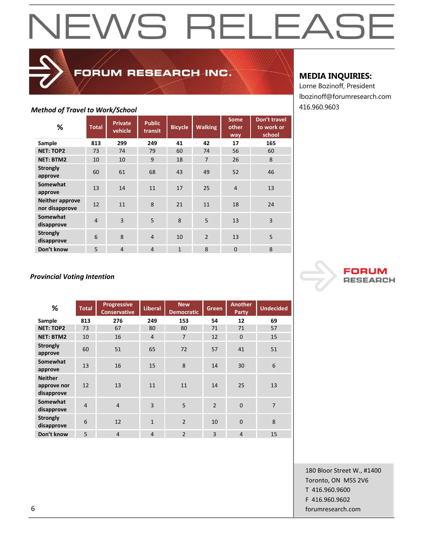| -,                                       |                |                           |                          |                |                |                      |                                      |
|------------------------------------------|----------------|---------------------------|--------------------------|----------------|----------------|----------------------|--------------------------------------|
| %                                        | <b>Total</b>   | <b>Private</b><br>vehicle | <b>Public</b><br>transit | <b>Bicycle</b> | <b>Walking</b> | Some<br>other<br>way | Don't travel<br>to work or<br>school |
| Sample                                   | 813            | 299                       | 249                      | 41             | 42             | 17                   | 165                                  |
| <b>NET: TOP2</b>                         | 73             | 74                        | 79                       | 60             | 74             | 56                   | 60                                   |
| <b>NET: BTM2</b>                         | 10             | 10                        | 9                        | 18             | $\overline{7}$ | 26                   | 8                                    |
| <b>Strongly</b><br>approve               | 60             | 61                        | 68                       | 43             | 49             | 52                   | 46                                   |
| Somewhat<br>approve                      | 13             | 14                        | 11                       | 17             | 25             | $\overline{4}$       | 13                                   |
| <b>Neither approve</b><br>nor disapprove | 12             | 11                        | 8                        | 21             | 11             | 18                   | 24                                   |
| Somewhat<br>disapprove                   | $\overline{4}$ | $\overline{3}$            | 5                        | 8              | 5              | 13                   | $\overline{3}$                       |
| <b>Strongly</b><br>disapprove            | 6              | 8                         | $\overline{4}$           | 10             | $\overline{2}$ | 13                   | 5                                    |
| Don't know                               | 5              | $\overline{4}$            | $\overline{4}$           | $\mathbf{1}$   | 8              | $\overline{0}$       | 8                                    |

FORUM RESEARCH INC.

#### **MEDIA INQUIRIES:**

Lorne Bozinoff, President lbozinoff@forumresearch.com *Method of Travel to Work/School* 416.960.9603

#### *Provincial Voting Intention*

| %                                           | <b>Total</b>   | <b>Progressive</b><br><b>Conservative</b> | <b>Liberal</b> | <b>New</b><br><b>Democratic</b> | Green          | <b>Another</b><br>Party | <b>Undecided</b> |
|---------------------------------------------|----------------|-------------------------------------------|----------------|---------------------------------|----------------|-------------------------|------------------|
| Sample                                      | 813            | 276                                       | 249            | 153                             | 54             | 12                      | 69               |
| <b>NET: TOP2</b>                            | 73             | 67                                        | 80             | 80                              | 71             | 71                      | 57               |
| <b>NET: BTM2</b>                            | 10             | 16                                        | $\overline{4}$ | $\overline{7}$                  | 12             | $\mathbf{0}$            | 15               |
| <b>Strongly</b><br>approve                  | 60             | 51                                        | 65             | 72                              | 57             | 41                      | 51               |
| Somewhat<br>approve                         | 13             | 16                                        | 15             | 8                               | 14             | 30                      | 6                |
| <b>Neither</b><br>approve nor<br>disapprove | 12             | 13                                        | 11             | 11                              | 14             | 25                      | 13               |
| Somewhat<br>disapprove                      | $\overline{4}$ | $\overline{4}$                            | 3              | 5                               | $\overline{2}$ | $\Omega$                | $\overline{7}$   |
| <b>Strongly</b><br>disapprove               | 6              | 12                                        | $\mathbf{1}$   | $\overline{2}$                  | 10             | $\overline{0}$          | 8                |
| Don't know                                  | 5              | $\overline{4}$                            | $\overline{4}$ | $\overline{2}$                  | $\overline{3}$ | $\overline{4}$          | 15               |



180 Bloor Street W., #1400 Toronto, ON M5S 2V6 T 416.960.9600 F 416.960.9602 6 forumresearch.com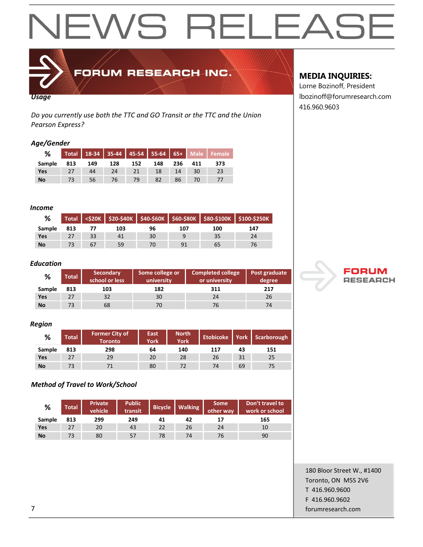

FORUM RESEARCH INC.

#### *Usage*

*Do you currently use both the TTC and GO Transit or the TTC and the Union Pearson Express?*

#### *Age/Gender*

| %         | Total |     |     |     |     |     |     | 18-34 35-44 45-54 55-64 65+ Male Female |
|-----------|-------|-----|-----|-----|-----|-----|-----|-----------------------------------------|
| Sample    | 813   | 149 | 128 | 152 | 148 | 236 | 411 | 373                                     |
| Yes       |       | 44  | 24  | 21  | 18  | 14  | 30  | 23                                      |
| <b>No</b> |       | 56  | 76  | 79  |     | 86  | 70  |                                         |

#### *Income*

| %         |     |    |     |    |                |     | Total   <\$20K   \$20-\$40K   \$40-\$60K   \$60-\$80K   \$80-\$100K   \$100-\$250K |
|-----------|-----|----|-----|----|----------------|-----|------------------------------------------------------------------------------------|
| Sample    | 813 |    | 103 | 96 | 107            | 100 | 147                                                                                |
| Yes       |     | 33 | 41  | 30 |                | 35  | 24                                                                                 |
| <b>No</b> |     | 67 | 59  |    | Q <sub>1</sub> | 65  |                                                                                    |

#### *Education*

| %      | <b>Total</b> | <b>Secondary</b><br>school or less | Some college or<br>university | <b>Completed college</b><br>or university | Post graduate<br>degree |
|--------|--------------|------------------------------------|-------------------------------|-------------------------------------------|-------------------------|
| Sample | 813          | 103                                | 182                           | 311                                       | 217                     |
| Yes    | 27           | 32                                 | 30                            | 24                                        | 26                      |
| No     | 73           | 68                                 | 70                            | 76                                        | 74                      |

#### *Region*

| %         | <b>Total</b> | <b>Former City of</b><br><b>Toronto</b> | East<br>York | <b>North</b><br><b>York</b> | <b>Etobicoke</b> |    | York   Scarborough |
|-----------|--------------|-----------------------------------------|--------------|-----------------------------|------------------|----|--------------------|
| Sample    | 813          | 298                                     | 64           | 140                         | 117              | 43 | 151                |
| Yes       | 27           | 29                                      | 20           | 28                          | 26               | 31 | 25                 |
| <b>No</b> | 73           |                                         | 80           | 72                          | 74               | 69 | 75                 |

#### *Method of Travel to Work/School*

| %      | <b>Total</b> | <b>Private</b><br>vehicle | <b>Public</b><br>transit | <b>Bicycle</b> | <b>Walking</b> | <b>Some</b><br>other way | Don't travel to<br>work or school |
|--------|--------------|---------------------------|--------------------------|----------------|----------------|--------------------------|-----------------------------------|
| Sample | 813          | 299                       | 249                      | 41             | 42             | 17                       | 165                               |
| Yes    | 27           | 20                        | 43                       | 22             | 26             | 24                       | 10                                |
| No     | 73           | 80                        | 57                       | 78             | 74             | 76                       | 90                                |

#### **MEDIA INQUIRIES:**

Lorne Bozinoff, President lbozinoff@forumresearch.com 416.960.9603



180 Bloor Street W., #1400 Toronto, ON M5S 2V6 T 416.960.9600 F 416.960.9602 7 forumresearch.com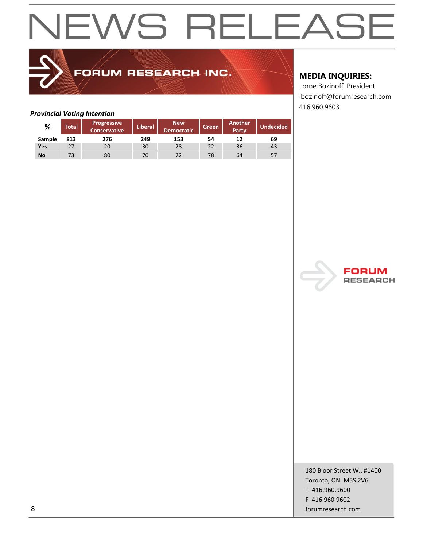## FORUM RESEARCH INC.

#### **MEDIA INQUIRIES:**

Lorne Bozinoff, President lbozinoff@forumresearch.com 416.960.9603

#### *Provincial Voting Intention*

| %         | <b>Total</b> | <b>Progressive</b><br><b>Conservative</b> | <b>Liberal</b> | <b>New</b><br><b>Democratic</b> | <b>Green</b> | <b>Another</b><br><b>Party</b> | Undecided <sup>'</sup> |
|-----------|--------------|-------------------------------------------|----------------|---------------------------------|--------------|--------------------------------|------------------------|
| Sample    | 813          | 276                                       | 249            | 153                             | 54           | 12                             | 69                     |
| Yes       | 27           | 20                                        | 30             | 28                              | 22           | 36                             | 43                     |
| <b>No</b> | 73           | 80                                        | 70             |                                 | 78           | 64                             | -57                    |



180 Bloor Street W., #1400 Toronto, ON M5S 2V6 T 416.960.9600 F 416.960.9602 8 forumresearch.com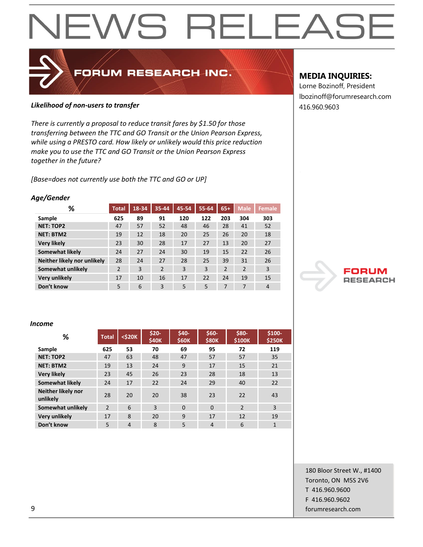# EWS RELEAS  $\blacktriangleleft$

#### **Likelihood of non-users to transfer Alternative Contract 2016 120 and 416.960.9603**

*There is currently a proposal to reduce transit fares by \$1.50 for those transferring between the TTC and GO Transit or the Union Pearson Express, while using a PRESTO card. How likely or unlikely would this price reduction make you to use the TTC and GO Transit or the Union Pearson Express together in the future?*

FORUM RESEARCH INC.

*[Base=does not currently use both the TTC and GO or UP]*

#### *Age/Gender*

| %                           | Total          | 18-34 | 35-44          | 45-54 | 55-64 | $65+$ | <b>Male</b> | <b>Female</b>  |
|-----------------------------|----------------|-------|----------------|-------|-------|-------|-------------|----------------|
| Sample                      | 625            | 89    | 91             | 120   | 122   | 203   | 304         | 303            |
| <b>NET: TOP2</b>            | 47             | 57    | 52             | 48    | 46    | 28    | 41          | 52             |
| <b>NET: BTM2</b>            | 19             | 12    | 18             | 20    | 25    | 26    | 20          | 18             |
| <b>Very likely</b>          | 23             | 30    | 28             | 17    | 27    | 13    | 20          | 27             |
| Somewhat likely             | 24             | 27    | 24             | 30    | 19    | 15    | 22          | 26             |
| Neither likely nor unlikely | 28             | 24    | 27             | 28    | 25    | 39    | 31          | 26             |
| Somewhat unlikely           | $\overline{2}$ | 3     | $\overline{2}$ | 3     | 3     | 2     | 2           | 3              |
| <b>Very unlikely</b>        | 17             | 10    | 16             | 17    | 22    | 24    | 19          | 15             |
| Don't know                  | 5              | 6     | 3              | 5     | 5     | 7     | 7           | $\overline{4}$ |

#### **MEDIA INQUIRIES:**

Lorne Bozinoff, President lbozinoff@forumresearch.com



#### *Income*

| %                              | <b>Total</b>   | $<$ \$20 $K$   | $$20-$<br><b>\$40K</b> | \$40-<br><b>\$60K</b> | $$60-$<br><b>\$80K</b> | \$80-<br>\$100K | $$100-$<br><b>\$250K</b> |
|--------------------------------|----------------|----------------|------------------------|-----------------------|------------------------|-----------------|--------------------------|
| Sample                         | 625            | 53             | 70                     | 69                    | 95                     | 72              | 119                      |
| <b>NET: TOP2</b>               | 47             | 63             | 48                     | 47                    | 57                     | 57              | 35                       |
| <b>NET: BTM2</b>               | 19             | 13             | 24                     | 9                     | 17                     | 15              | 21                       |
| <b>Very likely</b>             | 23             | 45             | 26                     | 23                    | 28                     | 18              | 13                       |
| Somewhat likely                | 24             | 17             | 22                     | 24                    | 29                     | 40              | 22                       |
| Neither likely nor<br>unlikely | 28             | 20             | 20                     | 38                    | 23                     | 22              | 43                       |
| Somewhat unlikely              | $\overline{2}$ | 6              | 3                      | $\Omega$              | $\Omega$               | $\mathcal{P}$   | 3                        |
| <b>Very unlikely</b>           | 17             | 8              | 20                     | 9                     | 17                     | 12              | 19                       |
| Don't know                     | 5              | $\overline{4}$ | 8                      | 5                     | $\overline{4}$         | 6               | $\mathbf{1}$             |

180 Bloor Street W., #1400 Toronto, ON M5S 2V6 T 416.960.9600 F 416.960.9602 9 forumresearch.com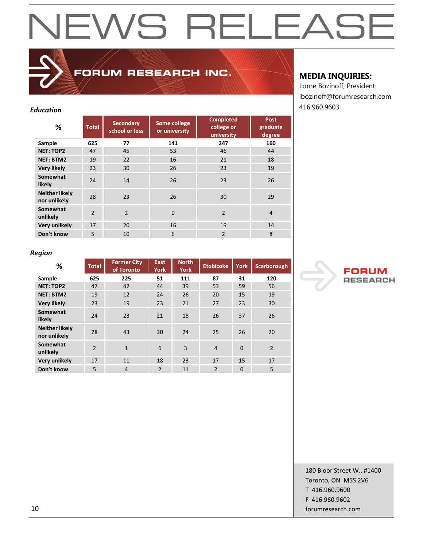# EWS RELEAS  $\overline{\phantom{a}}$

### **FORUM RESEARCH INC.**

#### **% Total Secondary school or less Some college or university Completed college or university Post graduate degree Sample 625 77 141 247 160 NET: TOP2** 47 45 53 46 44 **NET: BTM2** 19 22 16 21 18 **Very likely** 23 30 26 23 19 **Somewhat likely** 24 24 14 26 23 26<br>**likely** 24 24 26 **Neither likely nor unlikely** 28 23 26 30 29<br>**nor unlikely** 28 23 26 30 29 **Somewhat unlikely** 2 2 0 2 4<br>**unlikely** 2 2 0 2 4 **Very unlikely** 17 20 16 19 19 14 **Don't know** 5 10 6 2 8

#### **MEDIA INQUIRIES:**

Lorne Bozinoff, President lbozinoff@forumresearch.com 416.960.9603 *Education*

#### *Region*

| %                                     | <b>Total</b>   | <b>Former City</b><br>of Toronto | East<br>York   | <b>North</b><br><b>York</b> | <b>Etobicoke</b> | <b>York</b>  | <b>Scarborough</b> |
|---------------------------------------|----------------|----------------------------------|----------------|-----------------------------|------------------|--------------|--------------------|
| Sample                                | 625            | 225                              | 51             | 111                         | 87               | 31           | 120                |
| <b>NET: TOP2</b>                      | 47             | 42                               | 44             | 39                          | 53               | 59           | 56                 |
| <b>NET: BTM2</b>                      | 19             | 12                               | 24             | 26                          | 20               | 15           | 19                 |
| <b>Very likely</b>                    | 23             | 19                               | 23             | 21                          | 27               | 23           | 30                 |
| Somewhat<br>likely                    | 24             | 23                               | 21             | 18                          | 26               | 37           | 26                 |
| <b>Neither likely</b><br>nor unlikely | 28             | 43                               | 30             | 24                          | 25               | 26           | 20                 |
| Somewhat<br>unlikely                  | $\overline{2}$ | $\mathbf{1}$                     | 6              | 3                           | $\overline{4}$   | $\mathbf{0}$ | $\overline{2}$     |
| <b>Very unlikely</b>                  | 17             | 11                               | 18             | 23                          | 17               | 15           | 17                 |
| Don't know                            | 5              | $\overline{4}$                   | $\overline{2}$ | 11                          | $\overline{2}$   | $\mathbf 0$  | 5                  |



180 Bloor Street W., #1400 Toronto, ON M5S 2V6 T 416.960.9600 F 416.960.9602 10 forumresearch.com